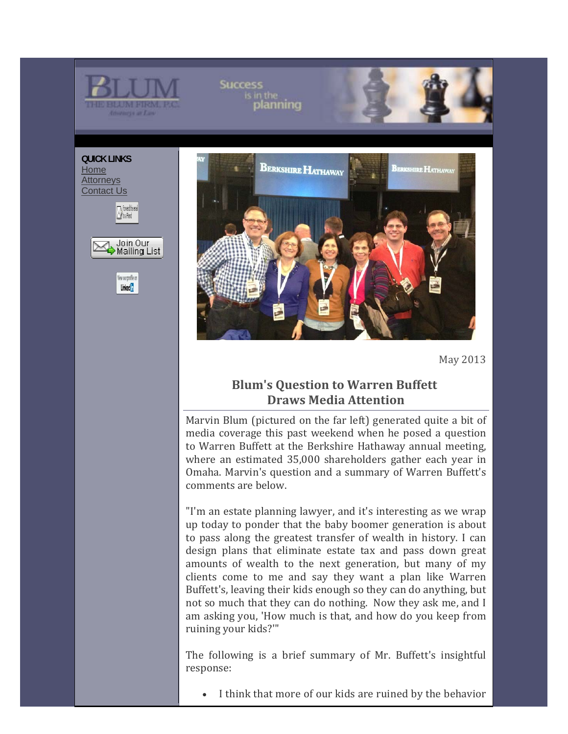

May 2013

# **Blum's Question to Warren Buffett Draws Media Attention**

Marvin Blum (pictured on the far left) generated quite a bit of media coverage this past weekend when he posed a question to Warren Buffett at the Berkshire Hathaway annual meeting, where an estimated 35,000 shareholders gather each year in Omaha. Marvin's question and a summary of Warren Buffett's comments are below.

"I'm an estate planning lawyer, and it's interesting as we wrap up today to ponder that the baby boomer generation is about to pass along the greatest transfer of wealth in history. I can design plans that eliminate estate tax and pass down great amounts of wealth to the next generation, but many of my clients come to me and say they want a plan like Warren Buffett's, leaving their kids enough so they can do anything, but not so much that they can do nothing. Now they ask me, and I am asking you, 'How much is that, and how do you keep from ruining your kids?""

The following is a brief summary of Mr. Buffett's insightful response: 

I think that more of our kids are ruined by the behavior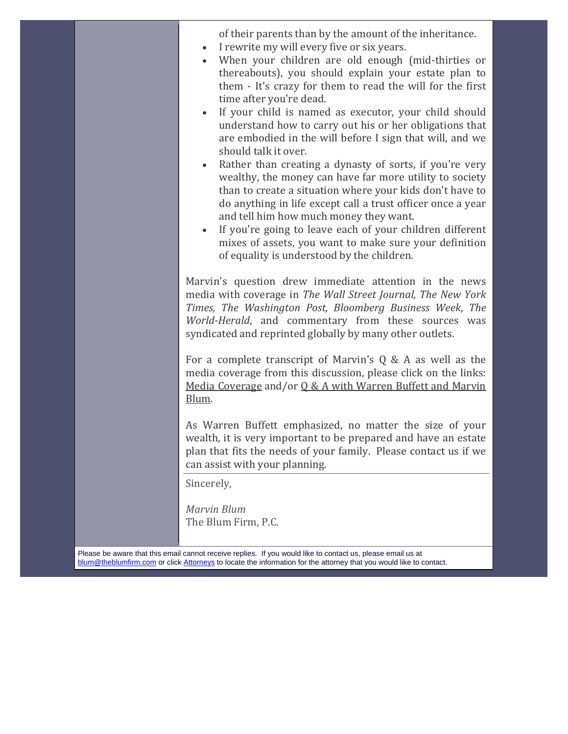of their parents than by the amount of the inheritance.

- I rewrite my will every five or six years.
- When your children are old enough (mid-thirties or thereabouts), you should explain your estate plan to them - It's crazy for them to read the will for the first time after you're dead.
- If your child is named as executor, your child should understand how to carry out his or her obligations that are embodied in the will before I sign that will, and we should talk it over.
- Rather than creating a dynasty of sorts, if you're very wealthy, the money can have far more utility to society than to create a situation where your kids don't have to do anything in life except call a trust officer once a year and tell him how much money they want.
- If you're going to leave each of your children different mixes of assets, you want to make sure your definition of equality is understood by the children.

Marvin's question drew immediate attention in the news media with coverage in *The Wall Street Journal, The New York Times, The Washington Post, Bloomberg Business Week*, *The* World-Herald, and commentary from these sources was syndicated and reprinted globally by many other outlets.

For a complete transcript of Marvin's  $Q \& A$  as well as the media coverage from this discussion, please click on the links: Media Coverage and/or  $0 & A$  with Warren Buffett and Marvin Blum. 

As Warren Buffett emphasized, no matter the size of your wealth, it is very important to be prepared and have an estate plan that fits the needs of your family. Please contact us if we can assist with your planning.

Sincerely,

*Marvin Blum*  The Blum Firm, P.C.

Please be aware that this email cannot receive replies. If you would like to contact us, please email us at blum@theblumfirm.com or click Attorneys to locate the information for the attorney that you would like to contact.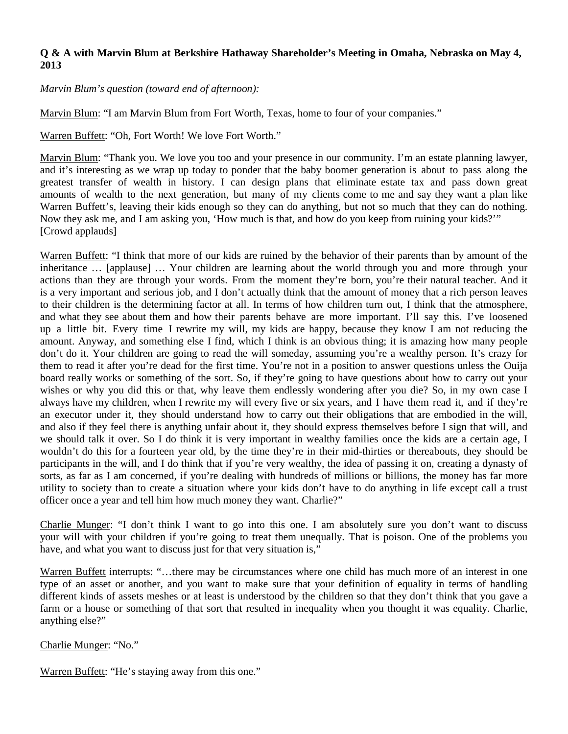### **Q & A with Marvin Blum at Berkshire Hathaway Shareholder's Meeting in Omaha, Nebraska on May 4, 2013**

*Marvin Blum's question (toward end of afternoon):* 

Marvin Blum: "I am Marvin Blum from Fort Worth, Texas, home to four of your companies."

Warren Buffett: "Oh, Fort Worth! We love Fort Worth."

Marvin Blum: "Thank you. We love you too and your presence in our community. I'm an estate planning lawyer, and it's interesting as we wrap up today to ponder that the baby boomer generation is about to pass along the greatest transfer of wealth in history. I can design plans that eliminate estate tax and pass down great amounts of wealth to the next generation, but many of my clients come to me and say they want a plan like Warren Buffett's, leaving their kids enough so they can do anything, but not so much that they can do nothing. Now they ask me, and I am asking you, 'How much is that, and how do you keep from ruining your kids?'" [Crowd applauds]

Warren Buffett: "I think that more of our kids are ruined by the behavior of their parents than by amount of the inheritance … [applause] … Your children are learning about the world through you and more through your actions than they are through your words. From the moment they're born, you're their natural teacher. And it is a very important and serious job, and I don't actually think that the amount of money that a rich person leaves to their children is the determining factor at all. In terms of how children turn out, I think that the atmosphere, and what they see about them and how their parents behave are more important. I'll say this. I've loosened up a little bit. Every time I rewrite my will, my kids are happy, because they know I am not reducing the amount. Anyway, and something else I find, which I think is an obvious thing; it is amazing how many people don't do it. Your children are going to read the will someday, assuming you're a wealthy person. It's crazy for them to read it after you're dead for the first time. You're not in a position to answer questions unless the Ouija board really works or something of the sort. So, if they're going to have questions about how to carry out your wishes or why you did this or that, why leave them endlessly wondering after you die? So, in my own case I always have my children, when I rewrite my will every five or six years, and I have them read it, and if they're an executor under it, they should understand how to carry out their obligations that are embodied in the will, and also if they feel there is anything unfair about it, they should express themselves before I sign that will, and we should talk it over. So I do think it is very important in wealthy families once the kids are a certain age, I wouldn't do this for a fourteen year old, by the time they're in their mid-thirties or thereabouts, they should be participants in the will, and I do think that if you're very wealthy, the idea of passing it on, creating a dynasty of sorts, as far as I am concerned, if you're dealing with hundreds of millions or billions, the money has far more utility to society than to create a situation where your kids don't have to do anything in life except call a trust officer once a year and tell him how much money they want. Charlie?"

Charlie Munger: "I don't think I want to go into this one. I am absolutely sure you don't want to discuss your will with your children if you're going to treat them unequally. That is poison. One of the problems you have, and what you want to discuss just for that very situation is,"

Warren Buffett interrupts: "…there may be circumstances where one child has much more of an interest in one type of an asset or another, and you want to make sure that your definition of equality in terms of handling different kinds of assets meshes or at least is understood by the children so that they don't think that you gave a farm or a house or something of that sort that resulted in inequality when you thought it was equality. Charlie, anything else?"

Charlie Munger: "No."

Warren Buffett: "He's staying away from this one."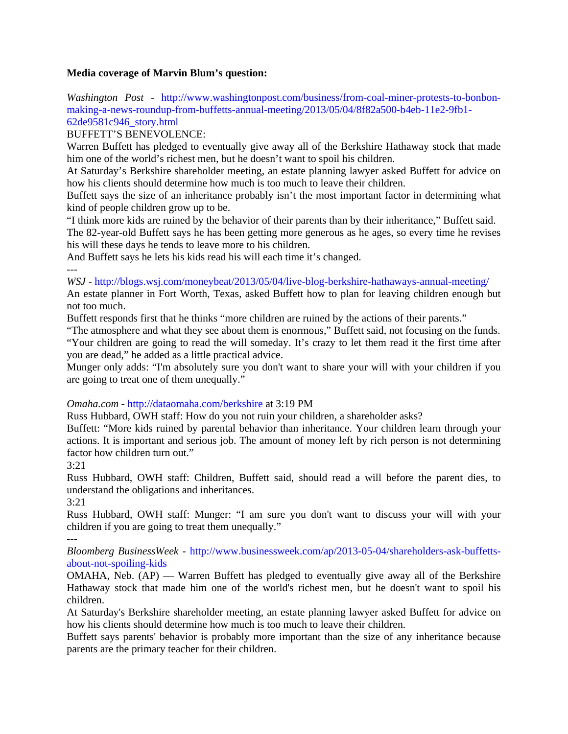### **Media coverage of Marvin Blum's question:**

*Washington Post -* http://www.washingtonpost.com/business/from-coal-miner-protests-to-bonbonmaking-a-news-roundup-from-buffetts-annual-meeting/2013/05/04/8f82a500-b4eb-11e2-9fb1- 62de9581c946\_story.html

#### BUFFETT'S BENEVOLENCE:

Warren Buffett has pledged to eventually give away all of the Berkshire Hathaway stock that made him one of the world's richest men, but he doesn't want to spoil his children.

At Saturday's Berkshire shareholder meeting, an estate planning lawyer asked Buffett for advice on how his clients should determine how much is too much to leave their children.

Buffett says the size of an inheritance probably isn't the most important factor in determining what kind of people children grow up to be.

"I think more kids are ruined by the behavior of their parents than by their inheritance," Buffett said. The 82-year-old Buffett says he has been getting more generous as he ages, so every time he revises his will these days he tends to leave more to his children.

And Buffett says he lets his kids read his will each time it's changed.

---

## *WSJ -* http://blogs.wsj.com/moneybeat/2013/05/04/live-blog-berkshire-hathaways-annual-meeting/

An estate planner in Fort Worth, Texas, asked Buffett how to plan for leaving children enough but not too much.

Buffett responds first that he thinks "more children are ruined by the actions of their parents."

"The atmosphere and what they see about them is enormous," Buffett said, not focusing on the funds.

"Your children are going to read the will someday. It's crazy to let them read it the first time after you are dead," he added as a little practical advice.

Munger only adds: "I'm absolutely sure you don't want to share your will with your children if you are going to treat one of them unequally."

*Omaha.com -* http://dataomaha.com/berkshire at 3:19 PM

Russ Hubbard, OWH staff: How do you not ruin your children, a shareholder asks?

Buffett: "More kids ruined by parental behavior than inheritance. Your children learn through your actions. It is important and serious job. The amount of money left by rich person is not determining factor how children turn out."

3:21

Russ Hubbard, OWH staff: Children, Buffett said, should read a will before the parent dies, to understand the obligations and inheritances.

3:21

Russ Hubbard, OWH staff: Munger: "I am sure you don't want to discuss your will with your children if you are going to treat them unequally."

---

*Bloomberg BusinessWeek -* http://www.businessweek.com/ap/2013-05-04/shareholders-ask-buffettsabout-not-spoiling-kids

OMAHA, Neb. (AP) — Warren Buffett has pledged to eventually give away all of the Berkshire Hathaway stock that made him one of the world's richest men, but he doesn't want to spoil his children.

At Saturday's Berkshire shareholder meeting, an estate planning lawyer asked Buffett for advice on how his clients should determine how much is too much to leave their children.

Buffett says parents' behavior is probably more important than the size of any inheritance because parents are the primary teacher for their children.